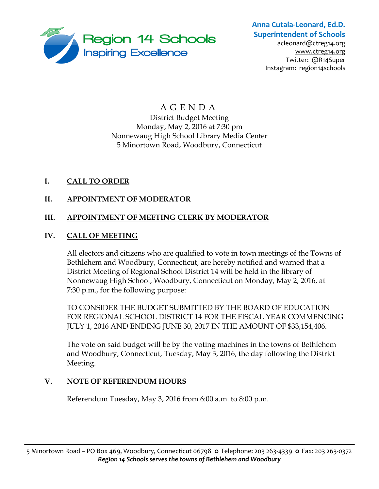

# **Anna Cutaia-Leonard, Ed.D. Superintendent of Schools**

[acleonard@ctreg14.org](mailto:acleonard@ctreg14.org) [www.ctreg14.org](http://www.ctreg14.org/) Twitter: @R14Super Instagram: region14schools

## A G E N D A District Budget Meeting Monday, May 2, 2016 at 7:30 pm Nonnewaug High School Library Media Center 5 Minortown Road, Woodbury, Connecticut

## **I. CALL TO ORDER**

## **II. APPOINTMENT OF MODERATOR**

## **III. APPOINTMENT OF MEETING CLERK BY MODERATOR**

## **IV. CALL OF MEETING**

All electors and citizens who are qualified to vote in town meetings of the Towns of Bethlehem and Woodbury, Connecticut, are hereby notified and warned that a District Meeting of Regional School District 14 will be held in the library of Nonnewaug High School, Woodbury, Connecticut on Monday, May 2, 2016, at 7:30 p.m., for the following purpose:

TO CONSIDER THE BUDGET SUBMITTED BY THE BOARD OF EDUCATION FOR REGIONAL SCHOOL DISTRICT 14 FOR THE FISCAL YEAR COMMENCING JULY 1, 2016 AND ENDING JUNE 30, 2017 IN THE AMOUNT OF \$33,154,406.

The vote on said budget will be by the voting machines in the towns of Bethlehem and Woodbury, Connecticut, Tuesday, May 3, 2016, the day following the District Meeting.

#### **V. NOTE OF REFERENDUM HOURS**

Referendum Tuesday, May 3, 2016 from 6:00 a.m. to 8:00 p.m.